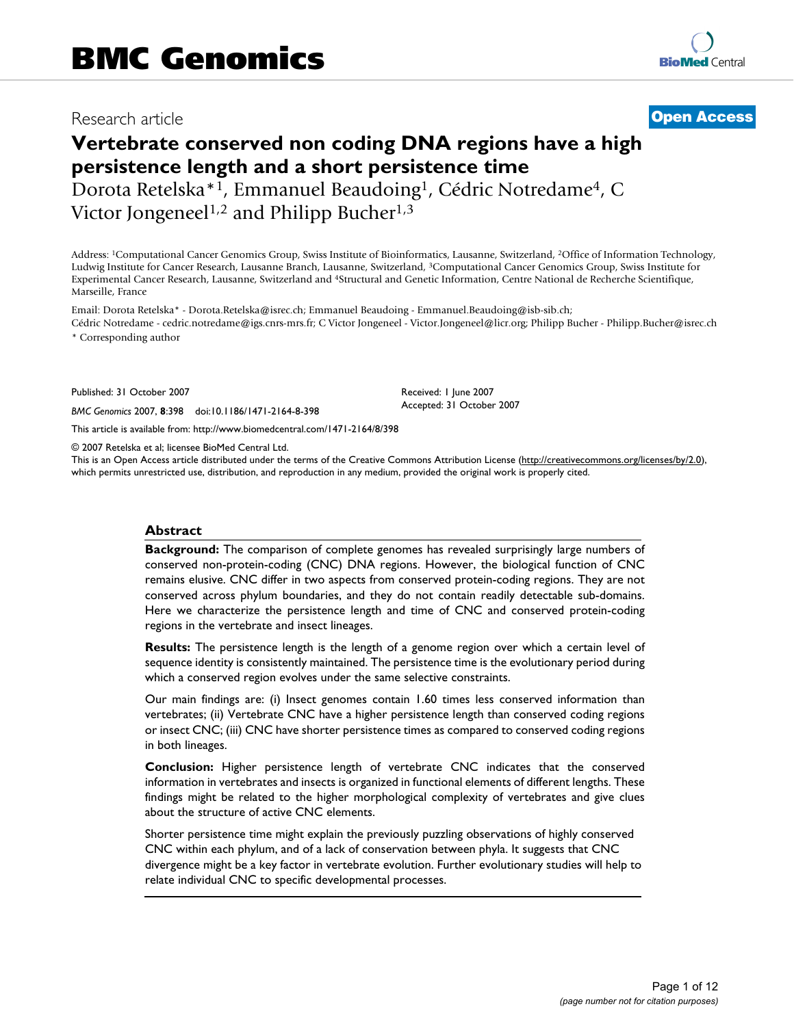# Research article **[Open Access](http://www.biomedcentral.com/info/about/charter/)**

# **Vertebrate conserved non coding DNA regions have a high persistence length and a short persistence time** Dorota Retelska\*1, Emmanuel Beaudoing1, Cédric Notredame4, C

Victor Jongeneel<sup>1,2</sup> and Philipp Bucher<sup>1,3</sup>

Address: 1Computational Cancer Genomics Group, Swiss Institute of Bioinformatics, Lausanne, Switzerland, 2Office of Information Technology, Ludwig Institute for Cancer Research, Lausanne Branch, Lausanne, Switzerland, 3Computational Cancer Genomics Group, Swiss Institute for Experimental Cancer Research, Lausanne, Switzerland and 4Structural and Genetic Information, Centre National de Recherche Scientifique, Marseille, France

Email: Dorota Retelska\* - Dorota.Retelska@isrec.ch; Emmanuel Beaudoing - Emmanuel.Beaudoing@isb-sib.ch; Cédric Notredame - cedric.notredame@igs.cnrs-mrs.fr; C Victor Jongeneel - Victor.Jongeneel@licr.org; Philipp Bucher - Philipp.Bucher@isrec.ch

> Received: 1 June 2007 Accepted: 31 October 2007

\* Corresponding author

Published: 31 October 2007

*BMC Genomics* 2007, **8**:398 doi:10.1186/1471-2164-8-398

[This article is available from: http://www.biomedcentral.com/1471-2164/8/398](http://www.biomedcentral.com/1471-2164/8/398)

© 2007 Retelska et al; licensee BioMed Central Ltd.

This is an Open Access article distributed under the terms of the Creative Commons Attribution License [\(http://creativecommons.org/licenses/by/2.0\)](http://creativecommons.org/licenses/by/2.0), which permits unrestricted use, distribution, and reproduction in any medium, provided the original work is properly cited.

#### **Abstract**

**Background:** The comparison of complete genomes has revealed surprisingly large numbers of conserved non-protein-coding (CNC) DNA regions. However, the biological function of CNC remains elusive. CNC differ in two aspects from conserved protein-coding regions. They are not conserved across phylum boundaries, and they do not contain readily detectable sub-domains. Here we characterize the persistence length and time of CNC and conserved protein-coding regions in the vertebrate and insect lineages.

**Results:** The persistence length is the length of a genome region over which a certain level of sequence identity is consistently maintained. The persistence time is the evolutionary period during which a conserved region evolves under the same selective constraints.

Our main findings are: (i) Insect genomes contain 1.60 times less conserved information than vertebrates; (ii) Vertebrate CNC have a higher persistence length than conserved coding regions or insect CNC; (iii) CNC have shorter persistence times as compared to conserved coding regions in both lineages.

**Conclusion:** Higher persistence length of vertebrate CNC indicates that the conserved information in vertebrates and insects is organized in functional elements of different lengths. These findings might be related to the higher morphological complexity of vertebrates and give clues about the structure of active CNC elements.

Shorter persistence time might explain the previously puzzling observations of highly conserved CNC within each phylum, and of a lack of conservation between phyla. It suggests that CNC divergence might be a key factor in vertebrate evolution. Further evolutionary studies will help to relate individual CNC to specific developmental processes.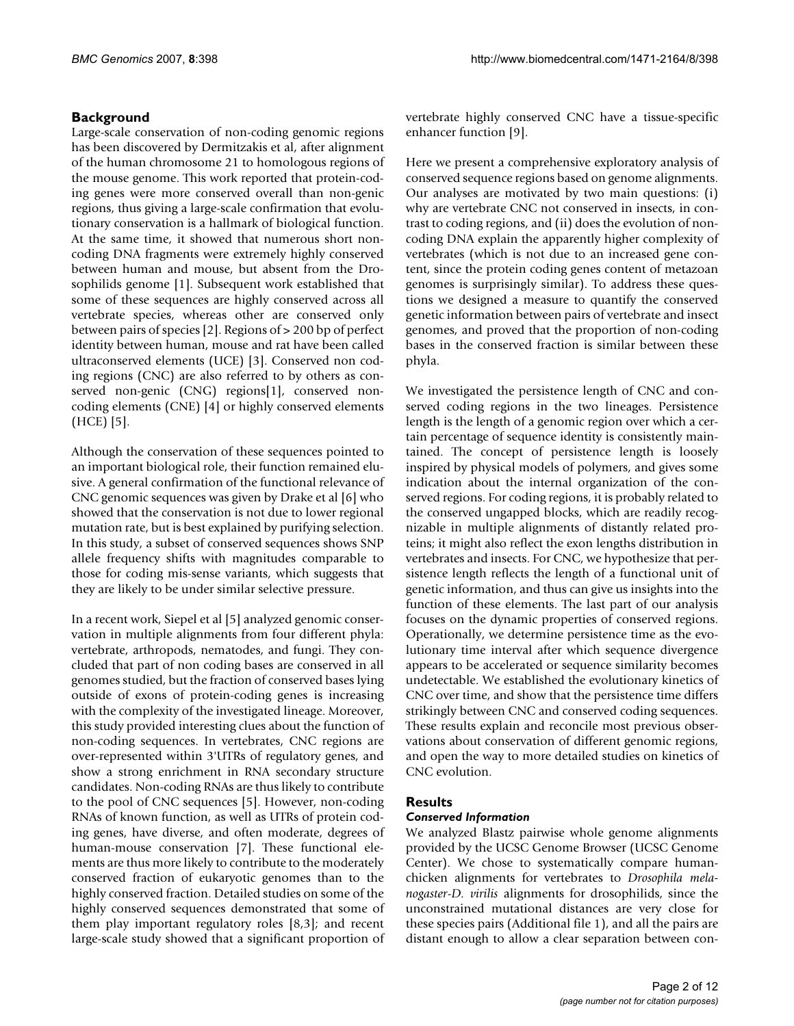# **Background**

Large-scale conservation of non-coding genomic regions has been discovered by Dermitzakis et al, after alignment of the human chromosome 21 to homologous regions of the mouse genome. This work reported that protein-coding genes were more conserved overall than non-genic regions, thus giving a large-scale confirmation that evolutionary conservation is a hallmark of biological function. At the same time, it showed that numerous short noncoding DNA fragments were extremely highly conserved between human and mouse, but absent from the Drosophilids genome [1]. Subsequent work established that some of these sequences are highly conserved across all vertebrate species, whereas other are conserved only between pairs of species [2]. Regions of > 200 bp of perfect identity between human, mouse and rat have been called ultraconserved elements (UCE) [3]. Conserved non coding regions (CNC) are also referred to by others as conserved non-genic (CNG) regions[1], conserved noncoding elements (CNE) [4] or highly conserved elements  $(HCE)$  [5].

Although the conservation of these sequences pointed to an important biological role, their function remained elusive. A general confirmation of the functional relevance of CNC genomic sequences was given by Drake et al [6] who showed that the conservation is not due to lower regional mutation rate, but is best explained by purifying selection. In this study, a subset of conserved sequences shows SNP allele frequency shifts with magnitudes comparable to those for coding mis-sense variants, which suggests that they are likely to be under similar selective pressure.

In a recent work, Siepel et al [5] analyzed genomic conservation in multiple alignments from four different phyla: vertebrate, arthropods, nematodes, and fungi. They concluded that part of non coding bases are conserved in all genomes studied, but the fraction of conserved bases lying outside of exons of protein-coding genes is increasing with the complexity of the investigated lineage. Moreover, this study provided interesting clues about the function of non-coding sequences. In vertebrates, CNC regions are over-represented within 3'UTRs of regulatory genes, and show a strong enrichment in RNA secondary structure candidates. Non-coding RNAs are thus likely to contribute to the pool of CNC sequences [5]. However, non-coding RNAs of known function, as well as UTRs of protein coding genes, have diverse, and often moderate, degrees of human-mouse conservation [7]. These functional elements are thus more likely to contribute to the moderately conserved fraction of eukaryotic genomes than to the highly conserved fraction. Detailed studies on some of the highly conserved sequences demonstrated that some of them play important regulatory roles [8,3]; and recent large-scale study showed that a significant proportion of vertebrate highly conserved CNC have a tissue-specific enhancer function [9].

Here we present a comprehensive exploratory analysis of conserved sequence regions based on genome alignments. Our analyses are motivated by two main questions: (i) why are vertebrate CNC not conserved in insects, in contrast to coding regions, and (ii) does the evolution of noncoding DNA explain the apparently higher complexity of vertebrates (which is not due to an increased gene content, since the protein coding genes content of metazoan genomes is surprisingly similar). To address these questions we designed a measure to quantify the conserved genetic information between pairs of vertebrate and insect genomes, and proved that the proportion of non-coding bases in the conserved fraction is similar between these phyla.

We investigated the persistence length of CNC and conserved coding regions in the two lineages. Persistence length is the length of a genomic region over which a certain percentage of sequence identity is consistently maintained. The concept of persistence length is loosely inspired by physical models of polymers, and gives some indication about the internal organization of the conserved regions. For coding regions, it is probably related to the conserved ungapped blocks, which are readily recognizable in multiple alignments of distantly related proteins; it might also reflect the exon lengths distribution in vertebrates and insects. For CNC, we hypothesize that persistence length reflects the length of a functional unit of genetic information, and thus can give us insights into the function of these elements. The last part of our analysis focuses on the dynamic properties of conserved regions. Operationally, we determine persistence time as the evolutionary time interval after which sequence divergence appears to be accelerated or sequence similarity becomes undetectable. We established the evolutionary kinetics of CNC over time, and show that the persistence time differs strikingly between CNC and conserved coding sequences. These results explain and reconcile most previous observations about conservation of different genomic regions, and open the way to more detailed studies on kinetics of CNC evolution.

### **Results**

#### *Conserved Information*

We analyzed Blastz pairwise whole genome alignments provided by the UCSC Genome Browser (UCSC Genome Center). We chose to systematically compare humanchicken alignments for vertebrates to *Drosophila melanogaster*-*D. virilis* alignments for drosophilids, since the unconstrained mutational distances are very close for these species pairs (Additional file 1), and all the pairs are distant enough to allow a clear separation between con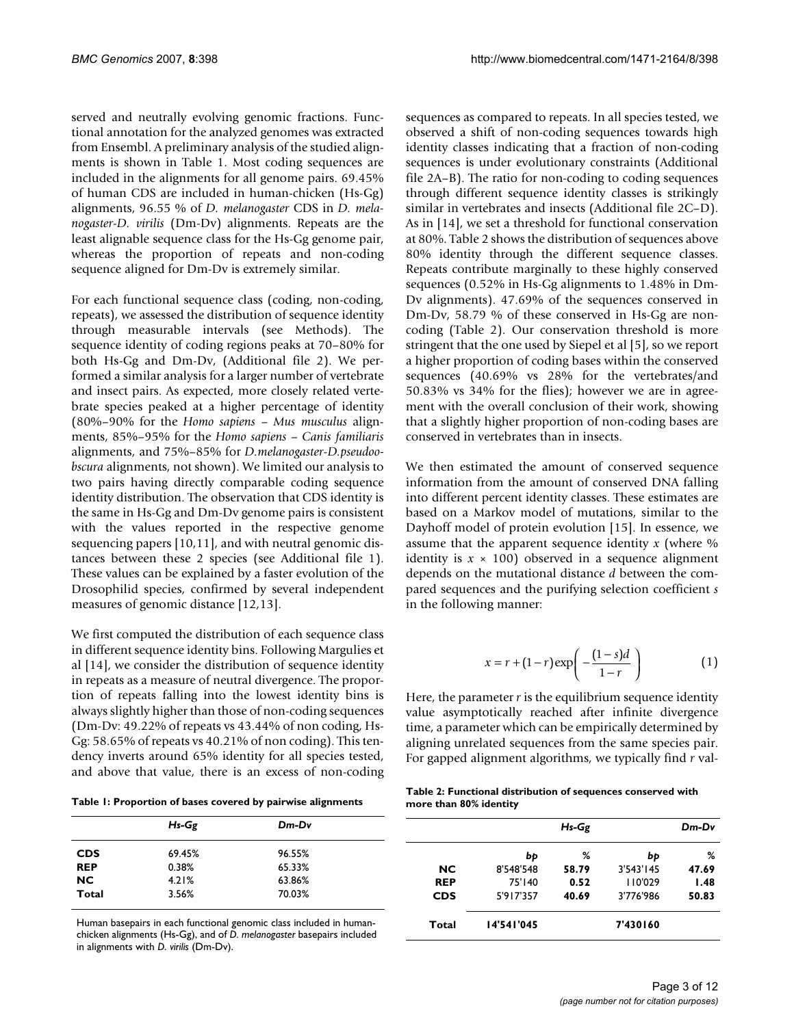served and neutrally evolving genomic fractions. Functional annotation for the analyzed genomes was extracted from Ensembl. A preliminary analysis of the studied alignments is shown in Table 1. Most coding sequences are included in the alignments for all genome pairs. 69.45% of human CDS are included in human-chicken (Hs-Gg) alignments, 96.55 % of *D. melanogaster* CDS in *D. melanogaster*-*D. virilis* (Dm-Dv) alignments. Repeats are the least alignable sequence class for the Hs-Gg genome pair, whereas the proportion of repeats and non-coding sequence aligned for Dm-Dv is extremely similar.

For each functional sequence class (coding, non-coding, repeats), we assessed the distribution of sequence identity through measurable intervals (see Methods). The sequence identity of coding regions peaks at 70–80% for both Hs-Gg and Dm-Dv, (Additional file 2). We performed a similar analysis for a larger number of vertebrate and insect pairs. As expected, more closely related vertebrate species peaked at a higher percentage of identity (80%–90% for the *Homo sapiens* – *Mus musculus* alignments, 85%–95% for the *Homo sapiens* – *Canis familiaris* alignments, and 75%–85% for *D.melanogaster*-*D.pseudoobscura* alignments, not shown). We limited our analysis to two pairs having directly comparable coding sequence identity distribution. The observation that CDS identity is the same in Hs-Gg and Dm-Dv genome pairs is consistent with the values reported in the respective genome sequencing papers [10,11], and with neutral genomic distances between these 2 species (see Additional file 1). These values can be explained by a faster evolution of the Drosophilid species, confirmed by several independent measures of genomic distance [12,13].

We first computed the distribution of each sequence class in different sequence identity bins. Following Margulies et al [14], we consider the distribution of sequence identity in repeats as a measure of neutral divergence. The proportion of repeats falling into the lowest identity bins is always slightly higher than those of non-coding sequences (Dm-Dv: 49.22% of repeats vs 43.44% of non coding, Hs-Gg: 58.65% of repeats vs 40.21% of non coding). This tendency inverts around 65% identity for all species tested, and above that value, there is an excess of non-coding

**Table 1: Proportion of bases covered by pairwise alignments**

*Hs-Gg Dm-Dv* **CDS** 69.45% 96.55% **REP** 0.38% 65.33% **NC** 4.21% 63.86% **Total** 3.56% 70.03%

Human basepairs in each functional genomic class included in humanchicken alignments (Hs-Gg), and of *D. melanogaster* basepairs included in alignments with *D. virilis* (Dm-Dv).

sequences as compared to repeats. In all species tested, we observed a shift of non-coding sequences towards high identity classes indicating that a fraction of non-coding sequences is under evolutionary constraints (Additional file 2A–B). The ratio for non-coding to coding sequences through different sequence identity classes is strikingly similar in vertebrates and insects (Additional file 2C–D). As in [14], we set a threshold for functional conservation at 80%. Table 2 shows the distribution of sequences above 80% identity through the different sequence classes. Repeats contribute marginally to these highly conserved sequences (0.52% in Hs-Gg alignments to 1.48% in Dm-Dv alignments). 47.69% of the sequences conserved in Dm-Dv, 58.79 % of these conserved in Hs-Gg are noncoding (Table 2). Our conservation threshold is more stringent that the one used by Siepel et al [5], so we report a higher proportion of coding bases within the conserved sequences (40.69% vs 28% for the vertebrates/and 50.83% vs 34% for the flies); however we are in agreement with the overall conclusion of their work, showing that a slightly higher proportion of non-coding bases are conserved in vertebrates than in insects.

We then estimated the amount of conserved sequence information from the amount of conserved DNA falling into different percent identity classes. These estimates are based on a Markov model of mutations, similar to the Dayhoff model of protein evolution [15]. In essence, we assume that the apparent sequence identity *x* (where % identity is  $x \times 100$ ) observed in a sequence alignment depends on the mutational distance *d* between the compared sequences and the purifying selection coefficient *s* in the following manner:

$$
x = r + (1 - r) \exp\left(-\frac{(1 - s)d}{1 - r}\right) \tag{1}
$$

Here, the parameter  $r$  is the equilibrium sequence identity value asymptotically reached after infinite divergence time, a parameter which can be empirically determined by aligning unrelated sequences from the same species pair. For gapped alignment algorithms, we typically find *r* val-

**Table 2: Functional distribution of sequences conserved with more than 80% identity**

|            | $Hs-Gg$    |       | $Dm$ - $Dv$ |       |
|------------|------------|-------|-------------|-------|
|            | bþ         | %     | bþ          | %     |
| <b>NC</b>  | 8'548'548  | 58.79 | 3'543'145   | 47.69 |
| <b>REP</b> | 75'140     | 0.52  | 110'029     | 1.48  |
| <b>CDS</b> | 5'917'357  | 40.69 | 3'776'986   | 50.83 |
| Total      | 14'541'045 |       | 7'430160    |       |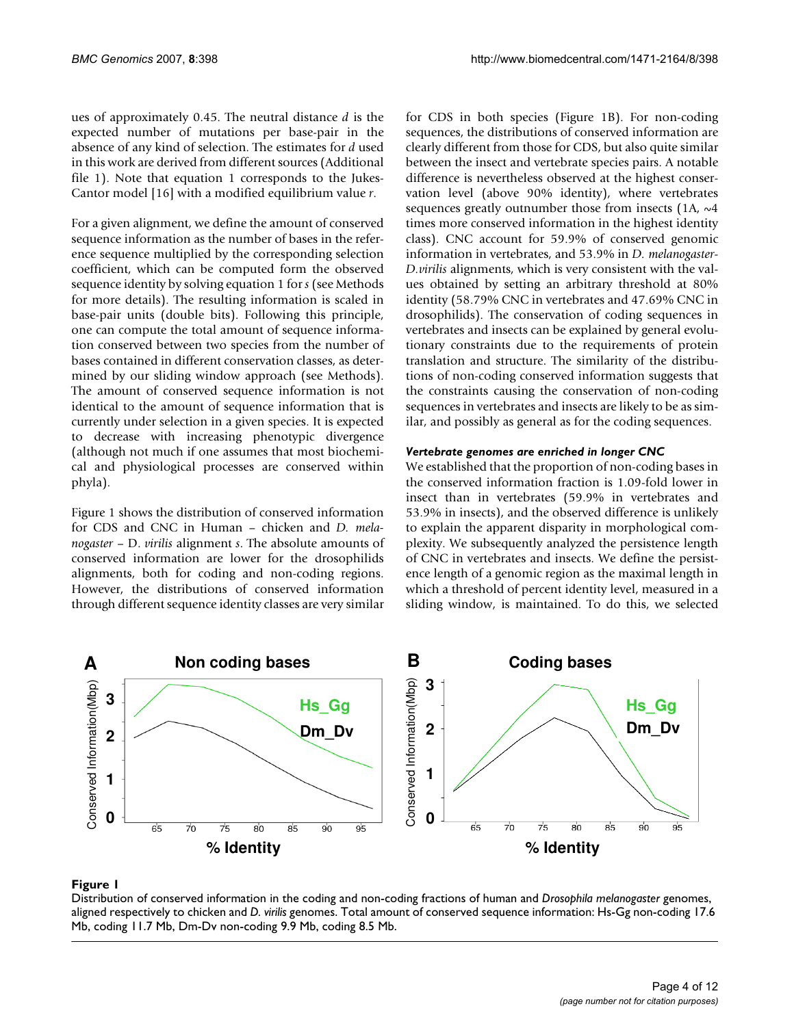ues of approximately 0.45. The neutral distance *d* is the expected number of mutations per base-pair in the absence of any kind of selection. The estimates for *d* used in this work are derived from different sources (Additional file 1). Note that equation 1 corresponds to the Jukes-Cantor model [16] with a modified equilibrium value *r*.

For a given alignment, we define the amount of conserved sequence information as the number of bases in the reference sequence multiplied by the corresponding selection coefficient, which can be computed form the observed sequence identity by solving equation 1 for *s* (see Methods for more details). The resulting information is scaled in base-pair units (double bits). Following this principle, one can compute the total amount of sequence information conserved between two species from the number of bases contained in different conservation classes, as determined by our sliding window approach (see Methods). The amount of conserved sequence information is not identical to the amount of sequence information that is currently under selection in a given species. It is expected to decrease with increasing phenotypic divergence (although not much if one assumes that most biochemical and physiological processes are conserved within phyla).

Figure 1 shows the distribution of conserved information for CDS and CNC in Human – chicken and *D. melanogaster* – D. *virilis* alignment *s*. The absolute amounts of conserved information are lower for the drosophilids alignments, both for coding and non-coding regions. However, the distributions of conserved information through different sequence identity classes are very similar for CDS in both species (Figure 1B). For non-coding sequences, the distributions of conserved information are clearly different from those for CDS, but also quite similar between the insect and vertebrate species pairs. A notable difference is nevertheless observed at the highest conservation level (above 90% identity), where vertebrates sequences greatly outnumber those from insects  $(1A, \sim4$ times more conserved information in the highest identity class). CNC account for 59.9% of conserved genomic information in vertebrates, and 53.9% in *D. melanogaster*-*D.virilis* alignments, which is very consistent with the values obtained by setting an arbitrary threshold at 80% identity (58.79% CNC in vertebrates and 47.69% CNC in drosophilids). The conservation of coding sequences in vertebrates and insects can be explained by general evolutionary constraints due to the requirements of protein translation and structure. The similarity of the distributions of non-coding conserved information suggests that the constraints causing the conservation of non-coding sequences in vertebrates and insects are likely to be as similar, and possibly as general as for the coding sequences.

# *Vertebrate genomes are enriched in longer CNC*

We established that the proportion of non-coding bases in the conserved information fraction is 1.09-fold lower in insect than in vertebrates (59.9% in vertebrates and 53.9% in insects), and the observed difference is unlikely to explain the apparent disparity in morphological complexity. We subsequently analyzed the persistence length of CNC in vertebrates and insects. We define the persistence length of a genomic region as the maximal length in which a threshold of percent identity level, measured in a sliding window, is maintained. To do this, we selected



### aligned respectively to chicken and Distribution of conserved information in the co **Figure 1** *D. virilis* genomes ding and non-coding fractions of human and *Drosophila melanogaster* genomes,

Distribution of conserved information in the coding and non-coding fractions of human and *Drosophila melanogaster* genomes, aligned respectively to chicken and *D. virilis* genomes. Total amount of conserved sequence information: Hs-Gg non-coding 17.6 Mb, coding 11.7 Mb, Dm-Dv non-coding 9.9 Mb, coding 8.5 Mb.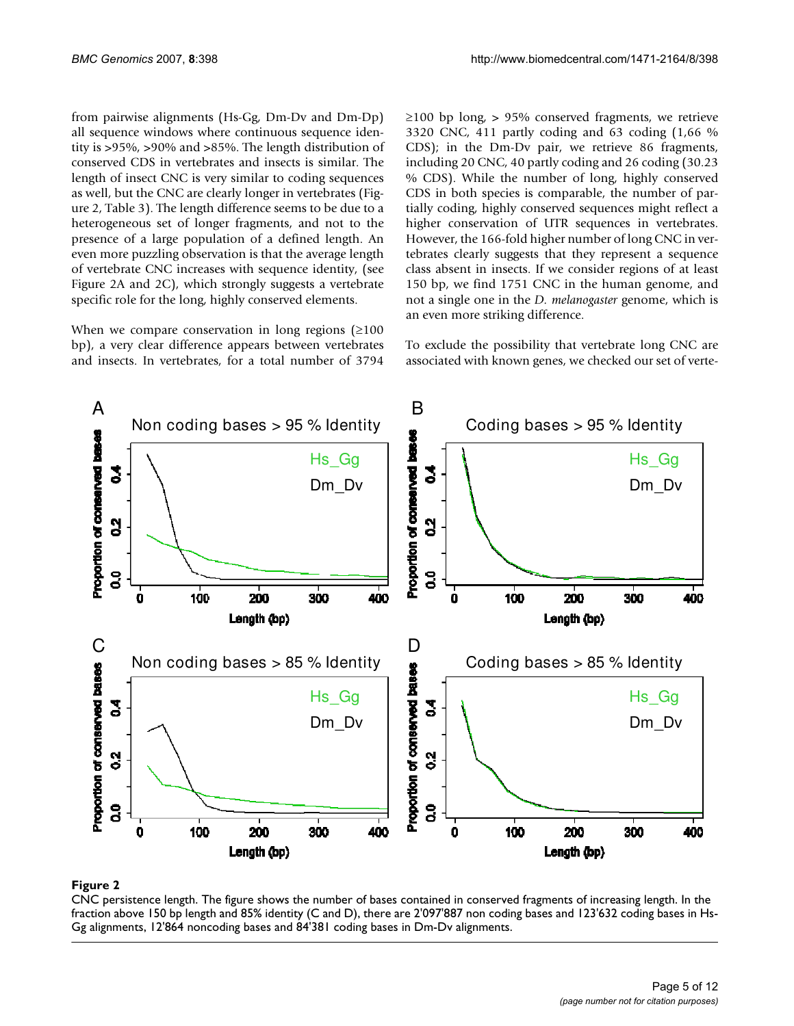from pairwise alignments (Hs-Gg, Dm-Dv and Dm-Dp) all sequence windows where continuous sequence identity is >95%, >90% and >85%. The length distribution of conserved CDS in vertebrates and insects is similar. The length of insect CNC is very similar to coding sequences as well, but the CNC are clearly longer in vertebrates (Figure 2, Table 3). The length difference seems to be due to a heterogeneous set of longer fragments, and not to the presence of a large population of a defined length. An even more puzzling observation is that the average length of vertebrate CNC increases with sequence identity, (see Figure 2A and 2C), which strongly suggests a vertebrate specific role for the long, highly conserved elements.

When we compare conservation in long regions  $(≥100$ bp), a very clear difference appears between vertebrates and insects. In vertebrates, for a total number of 3794  $≥100$  bp long, > 95% conserved fragments, we retrieve 3320 CNC, 411 partly coding and 63 coding (1,66 % CDS); in the Dm-Dv pair, we retrieve 86 fragments, including 20 CNC, 40 partly coding and 26 coding (30.23 % CDS). While the number of long, highly conserved CDS in both species is comparable, the number of partially coding, highly conserved sequences might reflect a higher conservation of UTR sequences in vertebrates. However, the 166-fold higher number of long CNC in vertebrates clearly suggests that they represent a sequence class absent in insects. If we consider regions of at least 150 bp, we find 1751 CNC in the human genome, and not a single one in the *D. melanogaster* genome, which is an even more striking difference.

To exclude the possibility that vertebrate long CNC are associated with known genes, we checked our set of verte-



#### **Figure 2**

CNC persistence length. The figure shows the number of bases contained in conserved fragments of increasing length. In the fraction above 150 bp length and 85% identity (C and D), there are 2'097'887 non coding bases and 123'632 coding bases in Hs-Gg alignments, 12'864 noncoding bases and 84'381 coding bases in Dm-Dv alignments.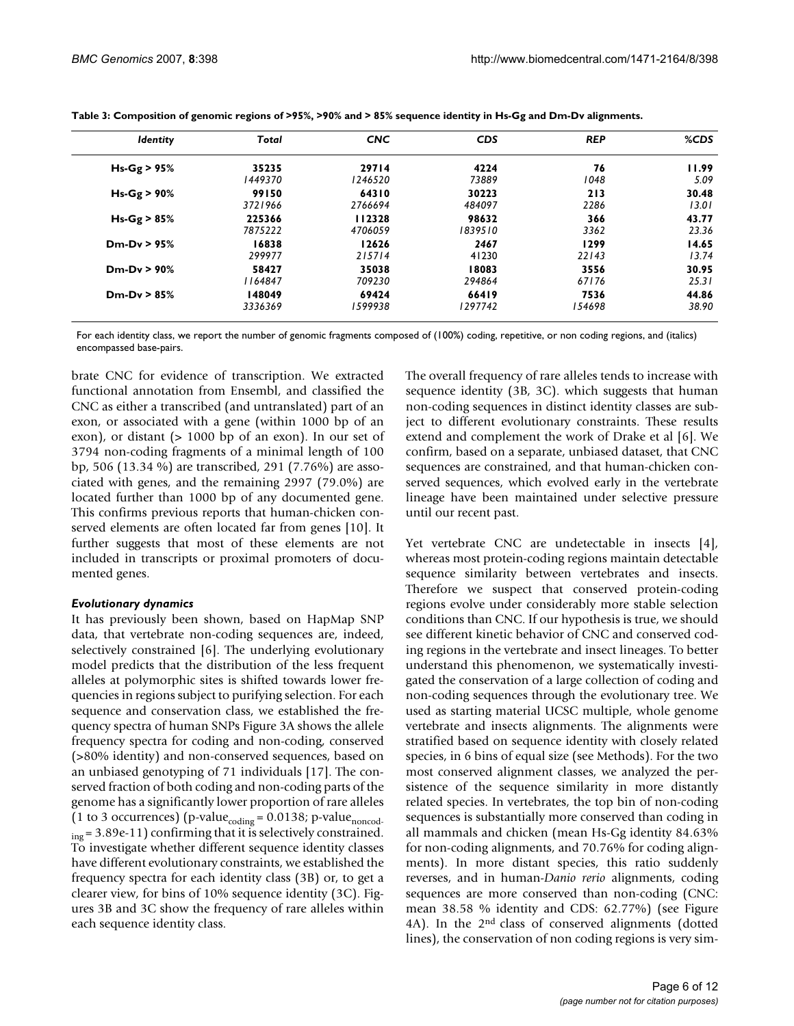| <b>Identity</b> | Total   | <b>CNC</b> | <b>CDS</b> | <b>REP</b> | %CDS  |
|-----------------|---------|------------|------------|------------|-------|
| $Hs-Gg > 95%$   | 35235   | 29714      | 4224       | 76         | 11.99 |
|                 | 1449370 | 1246520    | 73889      | 1048       | 5.09  |
| $Hs-Gg > 90%$   | 99150   | 64310      | 30223      | 213        | 30.48 |
|                 | 3721966 | 2766694    | 484097     | 2286       | 13.01 |
| $Hs-Gg > 85%$   | 225366  | 112328     | 98632      | 366        | 43.77 |
|                 | 7875222 | 4706059    | 1839510    | 3362       | 23.36 |
| $Dm-Dv > 95%$   | 16838   | 12626      | 2467       | 1299       | 14.65 |
|                 | 299977  | 215714     | 41230      | 22143      | 13.74 |
| $Dm-Dv > 90%$   | 58427   | 35038      | 18083      | 3556       | 30.95 |
|                 | 1164847 | 709230     | 294864     | 67176      | 25.31 |
| $Dm-Dv > 85%$   | 148049  | 69424      | 66419      | 7536       | 44.86 |
|                 | 3336369 | 1599938    | 1297742    | 154698     | 38.90 |

|  | Table 3: Composition of genomic regions of >95%, >90% and > 85% sequence identity in Hs-Gg and Dm-Dv alignments. |  |
|--|------------------------------------------------------------------------------------------------------------------|--|
|--|------------------------------------------------------------------------------------------------------------------|--|

For each identity class, we report the number of genomic fragments composed of (100%) coding, repetitive, or non coding regions, and (italics) encompassed base-pairs.

brate CNC for evidence of transcription. We extracted functional annotation from Ensembl, and classified the CNC as either a transcribed (and untranslated) part of an exon, or associated with a gene (within 1000 bp of an exon), or distant (> 1000 bp of an exon). In our set of 3794 non-coding fragments of a minimal length of 100 bp, 506 (13.34 %) are transcribed, 291 (7.76%) are associated with genes, and the remaining 2997 (79.0%) are located further than 1000 bp of any documented gene. This confirms previous reports that human-chicken conserved elements are often located far from genes [10]. It further suggests that most of these elements are not included in transcripts or proximal promoters of documented genes.

#### *Evolutionary dynamics*

It has previously been shown, based on HapMap SNP data, that vertebrate non-coding sequences are, indeed, selectively constrained [6]. The underlying evolutionary model predicts that the distribution of the less frequent alleles at polymorphic sites is shifted towards lower frequencies in regions subject to purifying selection. For each sequence and conservation class, we established the frequency spectra of human SNPs Figure 3A shows the allele frequency spectra for coding and non-coding, conserved (>80% identity) and non-conserved sequences, based on an unbiased genotyping of 71 individuals [17]. The conserved fraction of both coding and non-coding parts of the genome has a significantly lower proportion of rare alleles (1 to 3 occurrences) (p-value $_{\rm coding}$  = 0.0138; p-value $_{\rm noncod}$ .  $_{\rm ing}$  = 3.89e-11) confirming that it is selectively constrained. To investigate whether different sequence identity classes have different evolutionary constraints, we established the frequency spectra for each identity class (3B) or, to get a clearer view, for bins of 10% sequence identity (3C). Figures 3B and 3C show the frequency of rare alleles within each sequence identity class.

The overall frequency of rare alleles tends to increase with sequence identity (3B, 3C). which suggests that human non-coding sequences in distinct identity classes are subject to different evolutionary constraints. These results extend and complement the work of Drake et al [6]. We confirm, based on a separate, unbiased dataset, that CNC sequences are constrained, and that human-chicken conserved sequences, which evolved early in the vertebrate lineage have been maintained under selective pressure until our recent past.

Yet vertebrate CNC are undetectable in insects [4], whereas most protein-coding regions maintain detectable sequence similarity between vertebrates and insects. Therefore we suspect that conserved protein-coding regions evolve under considerably more stable selection conditions than CNC. If our hypothesis is true, we should see different kinetic behavior of CNC and conserved coding regions in the vertebrate and insect lineages. To better understand this phenomenon, we systematically investigated the conservation of a large collection of coding and non-coding sequences through the evolutionary tree. We used as starting material UCSC multiple, whole genome vertebrate and insects alignments. The alignments were stratified based on sequence identity with closely related species, in 6 bins of equal size (see Methods). For the two most conserved alignment classes, we analyzed the persistence of the sequence similarity in more distantly related species. In vertebrates, the top bin of non-coding sequences is substantially more conserved than coding in all mammals and chicken (mean Hs-Gg identity 84.63% for non-coding alignments, and 70.76% for coding alignments). In more distant species, this ratio suddenly reverses, and in human-*Danio rerio* alignments, coding sequences are more conserved than non-coding (CNC: mean 38.58 % identity and CDS: 62.77%) (see Figure 4A). In the 2<sup>nd</sup> class of conserved alignments (dotted lines), the conservation of non coding regions is very sim-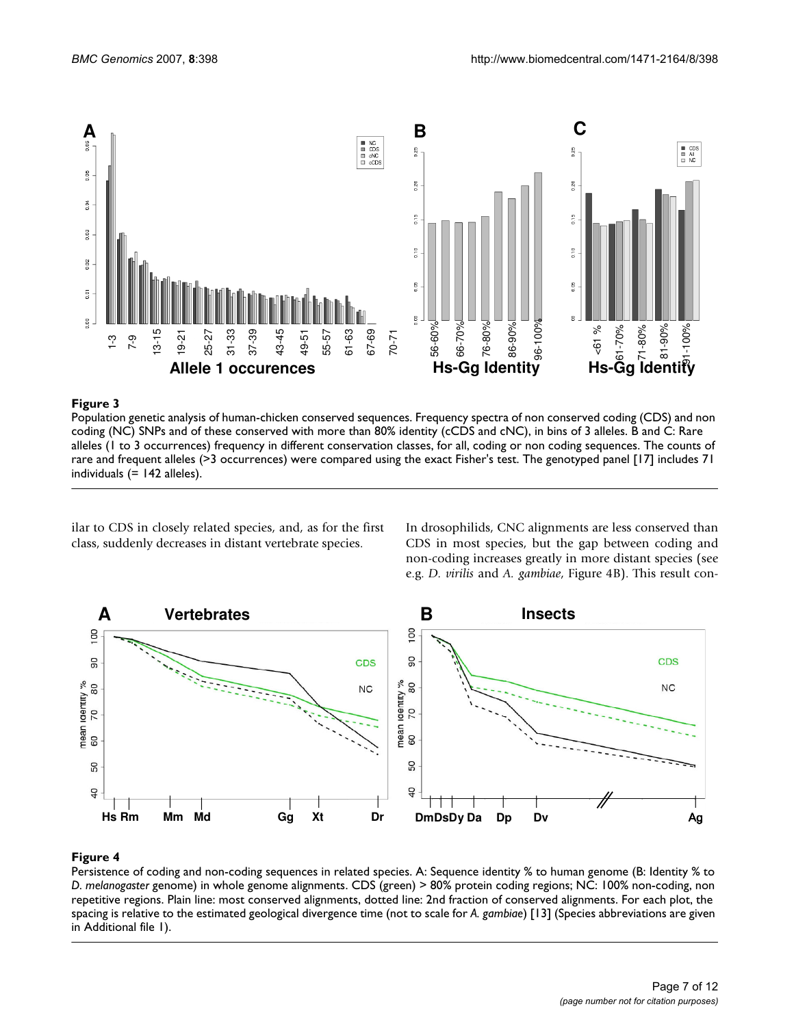

### **Figure 3**

Population genetic analysis of human-chicken conserved sequences. Frequency spectra of non conserved coding (CDS) and non coding (NC) SNPs and of these conserved with more than 80% identity (cCDS and cNC), in bins of 3 alleles. B and C: Rare alleles (1 to 3 occurrences) frequency in different conservation classes, for all, coding or non coding sequences. The counts of rare and frequent alleles (>3 occurrences) were compared using the exact Fisher's test. The genotyped panel [17] includes 71 Figure 3<br>
Population genetic analysis<br>
coding (NC) SNPs and of<br>
alleles (1 to 3 occurrence<br>
rare and frequent alleles).<br>
individuals (= 142 alleles).

ilar to CDS in closely related species, and, as for the first class, suddenly decreases in distant vertebrate species.

In drosophilids, CNC alignments are less conserved than CDS in most species, but the gap between coding and non-coding increases greatly in more distant species (see e.g. *D. virilis* and *A. gambiae*, Figure 4B). This result con-



### **Figure 4**

Persistence of coding and non-coding sequences in related species. A: Sequence identity % to human genome (B: Identity % to *D. melanogaster* genome) in whole genome alignments. CDS (green) > 80% protein coding regions; NC: 100% non-coding, non repetitive regions. Plain line: most conserved alignments, dotted line: 2nd fraction of conserved alignments. For each plot, the spacing is relative to the estimated geological divergence time (not to scale for *A. gambiae*) [13] (Species abbreviations are given in Additional file 1).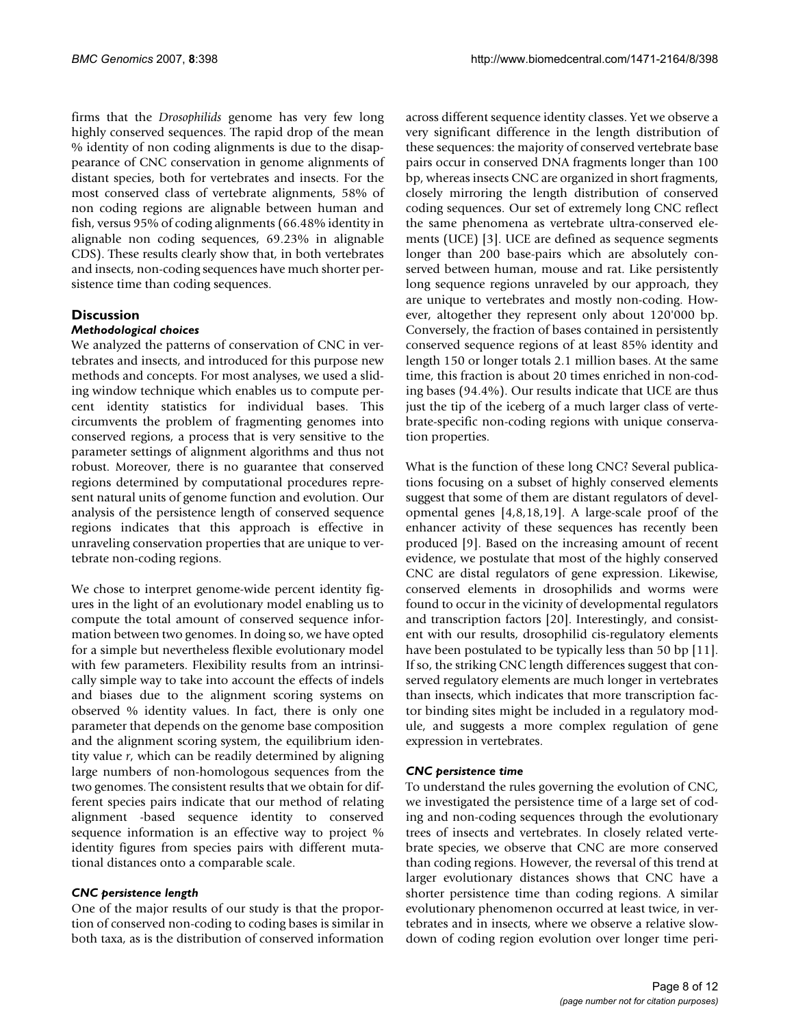firms that the *Drosophilids* genome has very few long highly conserved sequences. The rapid drop of the mean % identity of non coding alignments is due to the disappearance of CNC conservation in genome alignments of distant species, both for vertebrates and insects. For the most conserved class of vertebrate alignments, 58% of non coding regions are alignable between human and fish, versus 95% of coding alignments (66.48% identity in alignable non coding sequences, 69.23% in alignable CDS). These results clearly show that, in both vertebrates and insects, non-coding sequences have much shorter persistence time than coding sequences.

# **Discussion**

#### *Methodological choices*

We analyzed the patterns of conservation of CNC in vertebrates and insects, and introduced for this purpose new methods and concepts. For most analyses, we used a sliding window technique which enables us to compute percent identity statistics for individual bases. This circumvents the problem of fragmenting genomes into conserved regions, a process that is very sensitive to the parameter settings of alignment algorithms and thus not robust. Moreover, there is no guarantee that conserved regions determined by computational procedures represent natural units of genome function and evolution. Our analysis of the persistence length of conserved sequence regions indicates that this approach is effective in unraveling conservation properties that are unique to vertebrate non-coding regions.

We chose to interpret genome-wide percent identity figures in the light of an evolutionary model enabling us to compute the total amount of conserved sequence information between two genomes. In doing so, we have opted for a simple but nevertheless flexible evolutionary model with few parameters. Flexibility results from an intrinsically simple way to take into account the effects of indels and biases due to the alignment scoring systems on observed % identity values. In fact, there is only one parameter that depends on the genome base composition and the alignment scoring system, the equilibrium identity value *r*, which can be readily determined by aligning large numbers of non-homologous sequences from the two genomes. The consistent results that we obtain for different species pairs indicate that our method of relating alignment -based sequence identity to conserved sequence information is an effective way to project % identity figures from species pairs with different mutational distances onto a comparable scale.

#### *CNC persistence length*

One of the major results of our study is that the proportion of conserved non-coding to coding bases is similar in both taxa, as is the distribution of conserved information across different sequence identity classes. Yet we observe a very significant difference in the length distribution of these sequences: the majority of conserved vertebrate base pairs occur in conserved DNA fragments longer than 100 bp, whereas insects CNC are organized in short fragments, closely mirroring the length distribution of conserved coding sequences. Our set of extremely long CNC reflect the same phenomena as vertebrate ultra-conserved elements (UCE) [3]. UCE are defined as sequence segments longer than 200 base-pairs which are absolutely conserved between human, mouse and rat. Like persistently long sequence regions unraveled by our approach, they are unique to vertebrates and mostly non-coding. However, altogether they represent only about 120'000 bp. Conversely, the fraction of bases contained in persistently conserved sequence regions of at least 85% identity and length 150 or longer totals 2.1 million bases. At the same time, this fraction is about 20 times enriched in non-coding bases (94.4%). Our results indicate that UCE are thus just the tip of the iceberg of a much larger class of vertebrate-specific non-coding regions with unique conservation properties.

What is the function of these long CNC? Several publications focusing on a subset of highly conserved elements suggest that some of them are distant regulators of developmental genes [4,8,18,19]. A large-scale proof of the enhancer activity of these sequences has recently been produced [9]. Based on the increasing amount of recent evidence, we postulate that most of the highly conserved CNC are distal regulators of gene expression. Likewise, conserved elements in drosophilids and worms were found to occur in the vicinity of developmental regulators and transcription factors [20]. Interestingly, and consistent with our results, drosophilid cis-regulatory elements have been postulated to be typically less than 50 bp [11]. If so, the striking CNC length differences suggest that conserved regulatory elements are much longer in vertebrates than insects, which indicates that more transcription factor binding sites might be included in a regulatory module, and suggests a more complex regulation of gene expression in vertebrates.

#### *CNC persistence time*

To understand the rules governing the evolution of CNC, we investigated the persistence time of a large set of coding and non-coding sequences through the evolutionary trees of insects and vertebrates. In closely related vertebrate species, we observe that CNC are more conserved than coding regions. However, the reversal of this trend at larger evolutionary distances shows that CNC have a shorter persistence time than coding regions. A similar evolutionary phenomenon occurred at least twice, in vertebrates and in insects, where we observe a relative slowdown of coding region evolution over longer time peri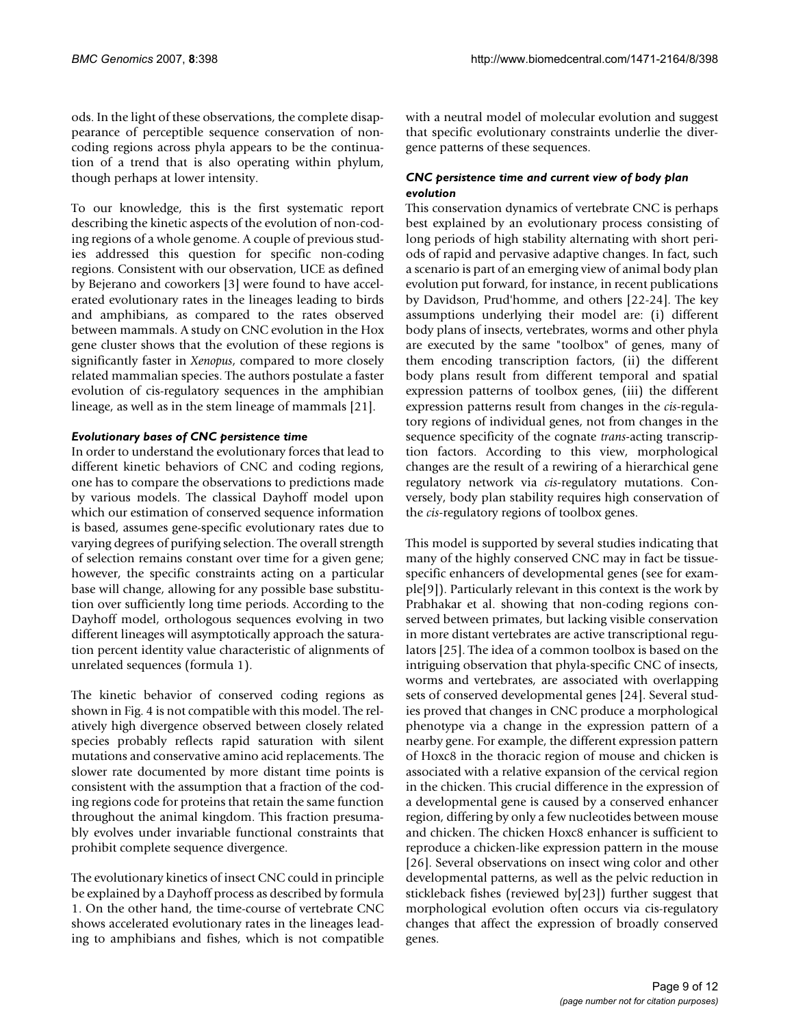ods. In the light of these observations, the complete disappearance of perceptible sequence conservation of noncoding regions across phyla appears to be the continuation of a trend that is also operating within phylum, though perhaps at lower intensity.

To our knowledge, this is the first systematic report describing the kinetic aspects of the evolution of non-coding regions of a whole genome. A couple of previous studies addressed this question for specific non-coding regions. Consistent with our observation, UCE as defined by Bejerano and coworkers [3] were found to have accelerated evolutionary rates in the lineages leading to birds and amphibians, as compared to the rates observed between mammals. A study on CNC evolution in the Hox gene cluster shows that the evolution of these regions is significantly faster in *Xenopus*, compared to more closely related mammalian species. The authors postulate a faster evolution of cis-regulatory sequences in the amphibian lineage, as well as in the stem lineage of mammals [21].

#### *Evolutionary bases of CNC persistence time*

In order to understand the evolutionary forces that lead to different kinetic behaviors of CNC and coding regions, one has to compare the observations to predictions made by various models. The classical Dayhoff model upon which our estimation of conserved sequence information is based, assumes gene-specific evolutionary rates due to varying degrees of purifying selection. The overall strength of selection remains constant over time for a given gene; however, the specific constraints acting on a particular base will change, allowing for any possible base substitution over sufficiently long time periods. According to the Dayhoff model, orthologous sequences evolving in two different lineages will asymptotically approach the saturation percent identity value characteristic of alignments of unrelated sequences (formula 1).

The kinetic behavior of conserved coding regions as shown in Fig. 4 is not compatible with this model. The relatively high divergence observed between closely related species probably reflects rapid saturation with silent mutations and conservative amino acid replacements. The slower rate documented by more distant time points is consistent with the assumption that a fraction of the coding regions code for proteins that retain the same function throughout the animal kingdom. This fraction presumably evolves under invariable functional constraints that prohibit complete sequence divergence.

The evolutionary kinetics of insect CNC could in principle be explained by a Dayhoff process as described by formula 1. On the other hand, the time-course of vertebrate CNC shows accelerated evolutionary rates in the lineages leading to amphibians and fishes, which is not compatible with a neutral model of molecular evolution and suggest that specific evolutionary constraints underlie the divergence patterns of these sequences.

## *CNC persistence time and current view of body plan evolution*

This conservation dynamics of vertebrate CNC is perhaps best explained by an evolutionary process consisting of long periods of high stability alternating with short periods of rapid and pervasive adaptive changes. In fact, such a scenario is part of an emerging view of animal body plan evolution put forward, for instance, in recent publications by Davidson, Prud'homme, and others [22-24]. The key assumptions underlying their model are: (i) different body plans of insects, vertebrates, worms and other phyla are executed by the same "toolbox" of genes, many of them encoding transcription factors, (ii) the different body plans result from different temporal and spatial expression patterns of toolbox genes, (iii) the different expression patterns result from changes in the *cis-*regulatory regions of individual genes, not from changes in the sequence specificity of the cognate *trans-*acting transcription factors. According to this view, morphological changes are the result of a rewiring of a hierarchical gene regulatory network via *cis-*regulatory mutations. Conversely, body plan stability requires high conservation of the *cis-*regulatory regions of toolbox genes.

This model is supported by several studies indicating that many of the highly conserved CNC may in fact be tissuespecific enhancers of developmental genes (see for example[9]). Particularly relevant in this context is the work by Prabhakar et al. showing that non-coding regions conserved between primates, but lacking visible conservation in more distant vertebrates are active transcriptional regulators [25]. The idea of a common toolbox is based on the intriguing observation that phyla-specific CNC of insects, worms and vertebrates, are associated with overlapping sets of conserved developmental genes [24]. Several studies proved that changes in CNC produce a morphological phenotype via a change in the expression pattern of a nearby gene. For example, the different expression pattern of Hoxc8 in the thoracic region of mouse and chicken is associated with a relative expansion of the cervical region in the chicken. This crucial difference in the expression of a developmental gene is caused by a conserved enhancer region, differing by only a few nucleotides between mouse and chicken. The chicken Hoxc8 enhancer is sufficient to reproduce a chicken-like expression pattern in the mouse [26]. Several observations on insect wing color and other developmental patterns, as well as the pelvic reduction in stickleback fishes (reviewed by[23]) further suggest that morphological evolution often occurs via cis-regulatory changes that affect the expression of broadly conserved genes.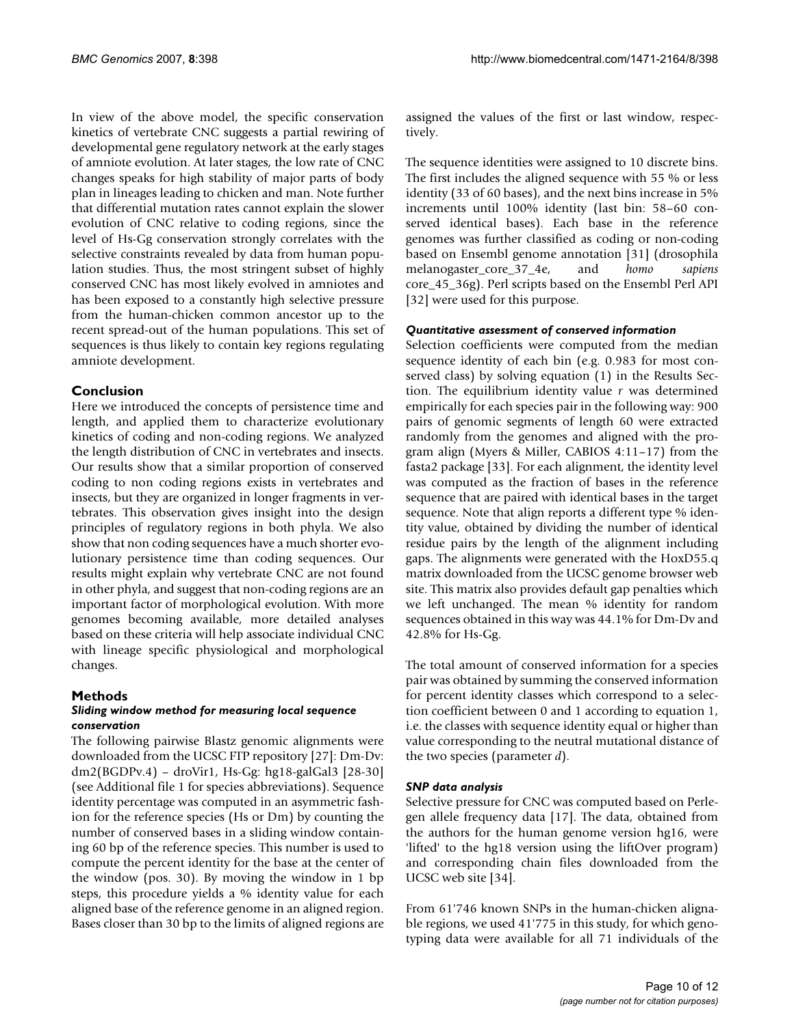In view of the above model, the specific conservation kinetics of vertebrate CNC suggests a partial rewiring of developmental gene regulatory network at the early stages of amniote evolution. At later stages, the low rate of CNC changes speaks for high stability of major parts of body plan in lineages leading to chicken and man. Note further that differential mutation rates cannot explain the slower evolution of CNC relative to coding regions, since the level of Hs-Gg conservation strongly correlates with the selective constraints revealed by data from human population studies. Thus, the most stringent subset of highly conserved CNC has most likely evolved in amniotes and has been exposed to a constantly high selective pressure from the human-chicken common ancestor up to the recent spread-out of the human populations. This set of sequences is thus likely to contain key regions regulating amniote development.

# **Conclusion**

Here we introduced the concepts of persistence time and length, and applied them to characterize evolutionary kinetics of coding and non-coding regions. We analyzed the length distribution of CNC in vertebrates and insects. Our results show that a similar proportion of conserved coding to non coding regions exists in vertebrates and insects, but they are organized in longer fragments in vertebrates. This observation gives insight into the design principles of regulatory regions in both phyla. We also show that non coding sequences have a much shorter evolutionary persistence time than coding sequences. Our results might explain why vertebrate CNC are not found in other phyla, and suggest that non-coding regions are an important factor of morphological evolution. With more genomes becoming available, more detailed analyses based on these criteria will help associate individual CNC with lineage specific physiological and morphological changes.

# **Methods**

#### *Sliding window method for measuring local sequence conservation*

The following pairwise Blastz genomic alignments were downloaded from the UCSC FTP repository [27]: Dm-Dv: dm2(BGDPv.4) – droVir1, Hs-Gg: hg18-galGal3 [28-30] (see Additional file 1 for species abbreviations). Sequence identity percentage was computed in an asymmetric fashion for the reference species (Hs or Dm) by counting the number of conserved bases in a sliding window containing 60 bp of the reference species. This number is used to compute the percent identity for the base at the center of the window (pos. 30). By moving the window in 1 bp steps, this procedure yields a % identity value for each aligned base of the reference genome in an aligned region. Bases closer than 30 bp to the limits of aligned regions are assigned the values of the first or last window, respectively.

The sequence identities were assigned to 10 discrete bins. The first includes the aligned sequence with 55 % or less identity (33 of 60 bases), and the next bins increase in 5% increments until 100% identity (last bin: 58–60 conserved identical bases). Each base in the reference genomes was further classified as coding or non-coding based on Ensembl genome annotation [31] (drosophila melanogaster\_core\_37\_4e, and *homo sapiens* core\_45\_36g). Perl scripts based on the Ensembl Perl API [32] were used for this purpose.

### *Quantitative assessment of conserved information*

Selection coefficients were computed from the median sequence identity of each bin (e.g. 0.983 for most conserved class) by solving equation (1) in the Results Section. The equilibrium identity value *r* was determined empirically for each species pair in the following way: 900 pairs of genomic segments of length 60 were extracted randomly from the genomes and aligned with the program align (Myers & Miller, CABIOS 4:11–17) from the fasta2 package [33]. For each alignment, the identity level was computed as the fraction of bases in the reference sequence that are paired with identical bases in the target sequence. Note that align reports a different type % identity value, obtained by dividing the number of identical residue pairs by the length of the alignment including gaps. The alignments were generated with the HoxD55.q matrix downloaded from the UCSC genome browser web site. This matrix also provides default gap penalties which we left unchanged. The mean % identity for random sequences obtained in this way was 44.1% for Dm-Dv and 42.8% for Hs-Gg.

The total amount of conserved information for a species pair was obtained by summing the conserved information for percent identity classes which correspond to a selection coefficient between 0 and 1 according to equation 1, i.e. the classes with sequence identity equal or higher than value corresponding to the neutral mutational distance of the two species (parameter *d*).

### *SNP data analysis*

Selective pressure for CNC was computed based on Perlegen allele frequency data [17]. The data, obtained from the authors for the human genome version hg16, were 'lifted' to the hg18 version using the liftOver program) and corresponding chain files downloaded from the UCSC web site [34].

From 61'746 known SNPs in the human-chicken alignable regions, we used 41'775 in this study, for which genotyping data were available for all 71 individuals of the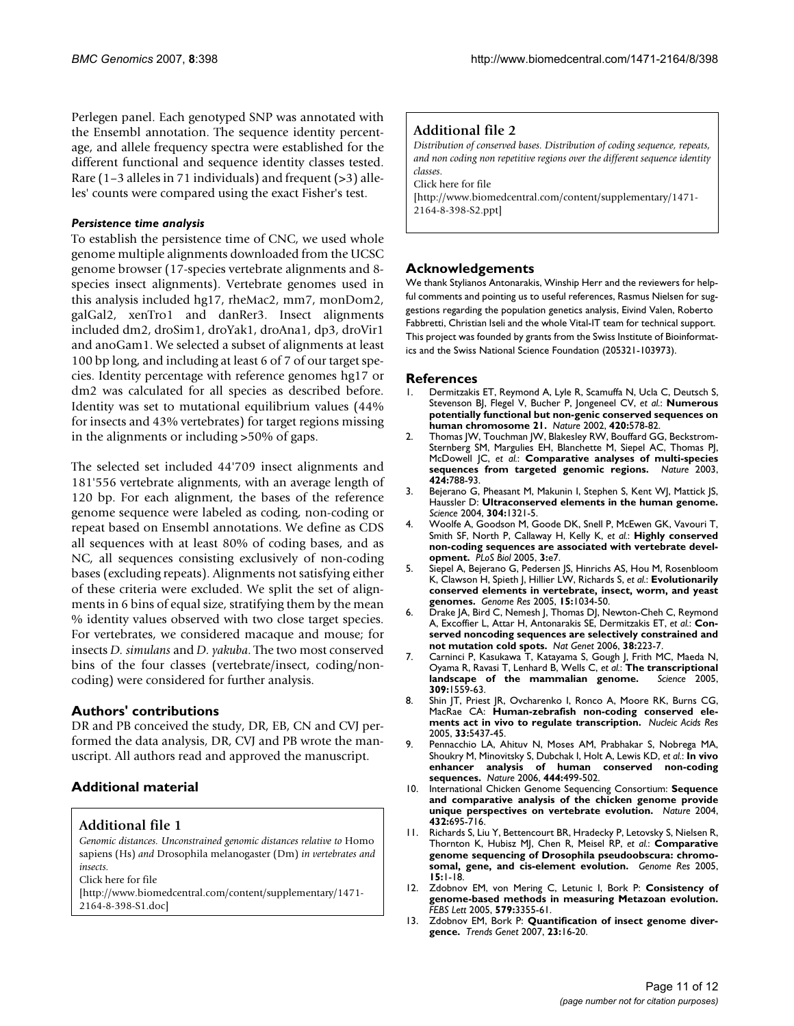Perlegen panel. Each genotyped SNP was annotated with the Ensembl annotation. The sequence identity percentage, and allele frequency spectra were established for the different functional and sequence identity classes tested. Rare (1–3 alleles in 71 individuals) and frequent (>3) alleles' counts were compared using the exact Fisher's test.

#### *Persistence time analysis*

To establish the persistence time of CNC, we used whole genome multiple alignments downloaded from the UCSC genome browser (17-species vertebrate alignments and 8 species insect alignments). Vertebrate genomes used in this analysis included hg17, rheMac2, mm7, monDom2, galGal2, xenTro1 and danRer3. Insect alignments included dm2, droSim1, droYak1, droAna1, dp3, droVir1 and anoGam1. We selected a subset of alignments at least 100 bp long, and including at least 6 of 7 of our target species. Identity percentage with reference genomes hg17 or dm2 was calculated for all species as described before. Identity was set to mutational equilibrium values (44% for insects and 43% vertebrates) for target regions missing in the alignments or including >50% of gaps.

The selected set included 44'709 insect alignments and 181'556 vertebrate alignments, with an average length of 120 bp. For each alignment, the bases of the reference genome sequence were labeled as coding, non-coding or repeat based on Ensembl annotations. We define as CDS all sequences with at least 80% of coding bases, and as NC, all sequences consisting exclusively of non-coding bases (excluding repeats). Alignments not satisfying either of these criteria were excluded. We split the set of alignments in 6 bins of equal size, stratifying them by the mean % identity values observed with two close target species. For vertebrates, we considered macaque and mouse; for insects *D. simulans* and *D. yakuba*. The two most conserved bins of the four classes (vertebrate/insect, coding/noncoding) were considered for further analysis.

### **Authors' contributions**

DR and PB conceived the study, DR, EB, CN and CVJ performed the data analysis, DR, CVJ and PB wrote the manuscript. All authors read and approved the manuscript.

# **Additional material**

### **Additional file 1**

*Genomic distances. Unconstrained genomic distances relative to* Homo sapiens (Hs) *and* Drosophila melanogaster (Dm) *in vertebrates and insects.*

Click here for file

[\[http://www.biomedcentral.com/content/supplementary/1471-](http://www.biomedcentral.com/content/supplementary/1471-2164-8-398-S1.doc) 2164-8-398-S1.doc]

# **Additional file 2**

*Distribution of conserved bases. Distribution of coding sequence, repeats, and non coding non repetitive regions over the different sequence identity classes.*

Click here for file

[\[http://www.biomedcentral.com/content/supplementary/1471-](http://www.biomedcentral.com/content/supplementary/1471-2164-8-398-S2.ppt) 2164-8-398-S2.ppt]

### **Acknowledgements**

We thank Stylianos Antonarakis, Winship Herr and the reviewers for helpful comments and pointing us to useful references, Rasmus Nielsen for suggestions regarding the population genetics analysis, Eivind Valen, Roberto Fabbretti, Christian Iseli and the whole Vital-IT team for technical support. This project was founded by grants from the Swiss Institute of Bioinformatics and the Swiss National Science Foundation (205321-103973).

#### **References**

- Dermitzakis ET, Reymond A, Lyle R, Scamuffa N, Ucla C, Deutsch S, Stevenson BJ, Flegel V, Bucher P, Jongeneel CV, *et al.*: **[Numerous](http://www.ncbi.nlm.nih.gov/entrez/query.fcgi?cmd=Retrieve&db=PubMed&dopt=Abstract&list_uids=12466853) [potentially functional but non-genic conserved sequences on](http://www.ncbi.nlm.nih.gov/entrez/query.fcgi?cmd=Retrieve&db=PubMed&dopt=Abstract&list_uids=12466853) [human chromosome 21.](http://www.ncbi.nlm.nih.gov/entrez/query.fcgi?cmd=Retrieve&db=PubMed&dopt=Abstract&list_uids=12466853)** *Nature* 2002, **420:**578-82.
- 2. Thomas JW, Touchman JW, Blakesley RW, Bouffard GG, Beckstrom-Sternberg SM, Margulies EH, Blanchette M, Siepel AC, Thomas PJ, McDowell JC, *et al.*: **[Comparative analyses of multi-species](http://www.ncbi.nlm.nih.gov/entrez/query.fcgi?cmd=Retrieve&db=PubMed&dopt=Abstract&list_uids=12917688) [sequences from targeted genomic regions.](http://www.ncbi.nlm.nih.gov/entrez/query.fcgi?cmd=Retrieve&db=PubMed&dopt=Abstract&list_uids=12917688)** *Nature* 2003, **424:**788-93.
- 3. Bejerano G, Pheasant M, Makunin I, Stephen S, Kent WJ, Mattick JS, Haussler D: **[Ultraconserved elements in the human genome.](http://www.ncbi.nlm.nih.gov/entrez/query.fcgi?cmd=Retrieve&db=PubMed&dopt=Abstract&list_uids=15131266)** *Science* 2004, **304:**1321-5.
- 4. Woolfe A, Goodson M, Goode DK, Snell P, McEwen GK, Vavouri T, Smith SF, North P, Callaway H, Kelly K, *et al.*: **[Highly conserved](http://www.ncbi.nlm.nih.gov/entrez/query.fcgi?cmd=Retrieve&db=PubMed&dopt=Abstract&list_uids=15630479) [non-coding sequences are associated with vertebrate devel](http://www.ncbi.nlm.nih.gov/entrez/query.fcgi?cmd=Retrieve&db=PubMed&dopt=Abstract&list_uids=15630479)[opment.](http://www.ncbi.nlm.nih.gov/entrez/query.fcgi?cmd=Retrieve&db=PubMed&dopt=Abstract&list_uids=15630479)** *PLoS Biol* 2005, **3:**e7.
- 5. Siepel A, Bejerano G, Pedersen JS, Hinrichs AS, Hou M, Rosenbloom K, Clawson H, Spieth J, Hillier LW, Richards S, *et al.*: **[Evolutionarily](http://www.ncbi.nlm.nih.gov/entrez/query.fcgi?cmd=Retrieve&db=PubMed&dopt=Abstract&list_uids=16024819) [conserved elements in vertebrate, insect, worm, and yeast](http://www.ncbi.nlm.nih.gov/entrez/query.fcgi?cmd=Retrieve&db=PubMed&dopt=Abstract&list_uids=16024819) [genomes.](http://www.ncbi.nlm.nih.gov/entrez/query.fcgi?cmd=Retrieve&db=PubMed&dopt=Abstract&list_uids=16024819)** *Genome Res* 2005, **15:**1034-50.
- 6. Drake JA, Bird C, Nemesh J, Thomas DJ, Newton-Cheh C, Reymond A, Excoffier L, Attar H, Antonarakis SE, Dermitzakis ET, *et al.*: **[Con](http://www.ncbi.nlm.nih.gov/entrez/query.fcgi?cmd=Retrieve&db=PubMed&dopt=Abstract&list_uids=16380714)[served noncoding sequences are selectively constrained and](http://www.ncbi.nlm.nih.gov/entrez/query.fcgi?cmd=Retrieve&db=PubMed&dopt=Abstract&list_uids=16380714) [not mutation cold spots.](http://www.ncbi.nlm.nih.gov/entrez/query.fcgi?cmd=Retrieve&db=PubMed&dopt=Abstract&list_uids=16380714)** *Nat Genet* 2006, **38:**223-7.
- 7. Carninci P, Kasukawa T, Katayama S, Gough J, Frith MC, Maeda N, Oyama R, Ravasi T, Lenhard B, Wells C, *et al.*: **[The transcriptional](http://www.ncbi.nlm.nih.gov/entrez/query.fcgi?cmd=Retrieve&db=PubMed&dopt=Abstract&list_uids=16141072)** [landscape of the mammalian genome.](http://www.ncbi.nlm.nih.gov/entrez/query.fcgi?cmd=Retrieve&db=PubMed&dopt=Abstract&list_uids=16141072) **309:**1559-63.
- 8. Shin JT, Priest JR, Ovcharenko I, Ronco A, Moore RK, Burns CG, MacRae CA: **[Human-zebrafish non-coding conserved ele](http://www.ncbi.nlm.nih.gov/entrez/query.fcgi?cmd=Retrieve&db=PubMed&dopt=Abstract&list_uids=16179648)[ments act in vivo to regulate transcription.](http://www.ncbi.nlm.nih.gov/entrez/query.fcgi?cmd=Retrieve&db=PubMed&dopt=Abstract&list_uids=16179648)** *Nucleic Acids Res* 2005, **33:**5437-45.
- 9. Pennacchio LA, Ahituv N, Moses AM, Prabhakar S, Nobrega MA, Shoukry M, Minovitsky S, Dubchak I, Holt A, Lewis KD, *et al.*: **[In vivo](http://www.ncbi.nlm.nih.gov/entrez/query.fcgi?cmd=Retrieve&db=PubMed&dopt=Abstract&list_uids=17086198) [enhancer analysis of human conserved non-coding](http://www.ncbi.nlm.nih.gov/entrez/query.fcgi?cmd=Retrieve&db=PubMed&dopt=Abstract&list_uids=17086198) [sequences.](http://www.ncbi.nlm.nih.gov/entrez/query.fcgi?cmd=Retrieve&db=PubMed&dopt=Abstract&list_uids=17086198)** *Nature* 2006, **444:**499-502.
- 10. International Chicken Genome Sequencing Consortium: **[Sequence](http://www.ncbi.nlm.nih.gov/entrez/query.fcgi?cmd=Retrieve&db=PubMed&dopt=Abstract&list_uids=15592404) [and comparative analysis of the chicken genome provide](http://www.ncbi.nlm.nih.gov/entrez/query.fcgi?cmd=Retrieve&db=PubMed&dopt=Abstract&list_uids=15592404) [unique perspectives on vertebrate evolution.](http://www.ncbi.nlm.nih.gov/entrez/query.fcgi?cmd=Retrieve&db=PubMed&dopt=Abstract&list_uids=15592404)** *Nature* 2004, **432:**695-716.
- 11. Richards S, Liu Y, Bettencourt BR, Hradecky P, Letovsky S, Nielsen R, Thornton K, Hubisz MJ, Chen R, Meisel RP, *et al.*: **[Comparative](http://www.ncbi.nlm.nih.gov/entrez/query.fcgi?cmd=Retrieve&db=PubMed&dopt=Abstract&list_uids=15632085) [genome sequencing of Drosophila pseudoobscura: chromo](http://www.ncbi.nlm.nih.gov/entrez/query.fcgi?cmd=Retrieve&db=PubMed&dopt=Abstract&list_uids=15632085)[somal, gene, and cis-element evolution.](http://www.ncbi.nlm.nih.gov/entrez/query.fcgi?cmd=Retrieve&db=PubMed&dopt=Abstract&list_uids=15632085)** *Genome Res* 2005, **15:**1-18.
- 12. Zdobnov EM, von Mering C, Letunic I, Bork P: **[Consistency of](http://www.ncbi.nlm.nih.gov/entrez/query.fcgi?cmd=Retrieve&db=PubMed&dopt=Abstract&list_uids=15943981) [genome-based methods in measuring Metazoan evolution.](http://www.ncbi.nlm.nih.gov/entrez/query.fcgi?cmd=Retrieve&db=PubMed&dopt=Abstract&list_uids=15943981)** *FEBS Lett* 2005, **579:**3355-61.
- 13. Zdobnov EM, Bork P: **[Quantification of insect genome diver](http://www.ncbi.nlm.nih.gov/entrez/query.fcgi?cmd=Retrieve&db=PubMed&dopt=Abstract&list_uids=17097187)[gence.](http://www.ncbi.nlm.nih.gov/entrez/query.fcgi?cmd=Retrieve&db=PubMed&dopt=Abstract&list_uids=17097187)** *Trends Genet* 2007, **23:**16-20.